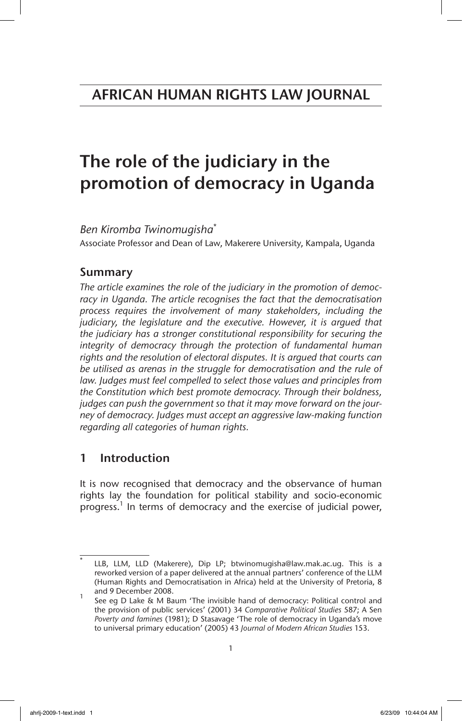# The role of the judiciary in the promotion of democracy in Uganda

*Ben Kiromba Twinomugisha*\*

Associate Professor and Dean of Law, Makerere University, Kampala, Uganda

# Summary

*The article examines the role of the judiciary in the promotion of democ*racy in Uganda. The article recognises the fact that the democratisation *process requires the involvement of many stakeholders, including the judiciary, the legislature and the executive. However, it is argued that the judiciary has a stronger constitutional responsibility for securing the integrity of democracy through the protection of fundamental human rights and the resolution of electoral disputes. It is argued that courts can be utilised as arenas in the struggle for democratisation and the rule of*  law. Judges must feel compelled to select those values and principles from *the Constitution which best promote democracy. Through their boldness, judges can push the government so that it may move forward on the journey of democracy. Judges must accept an aggressive law-making function regarding all categories of human rights.*

# 1 Introduction

It is now recognised that democracy and the observance of human rights lay the foundation for political stability and socio-economic progress.<sup>1</sup> In terms of democracy and the exercise of judicial power,

LLB, LLM, LLD (Makerere), Dip LP; btwinomugisha@law.mak.ac.ug. This is a reworked version of a paper delivered at the annual partners' conference of the LLM (Human Rights and Democratisation in Africa) held at the University of Pretoria, 8 and 9 December 2008.

See eg D Lake & M Baum 'The invisible hand of democracy: Political control and the provision of public services' (2001) 34 *Comparative Political Studies* 587; A Sen *Poverty and famines* (1981); D Stasavage 'The role of democracy in Uganda's move to universal primary education' (2005) 43 *Journal of Modern African Studies* 153.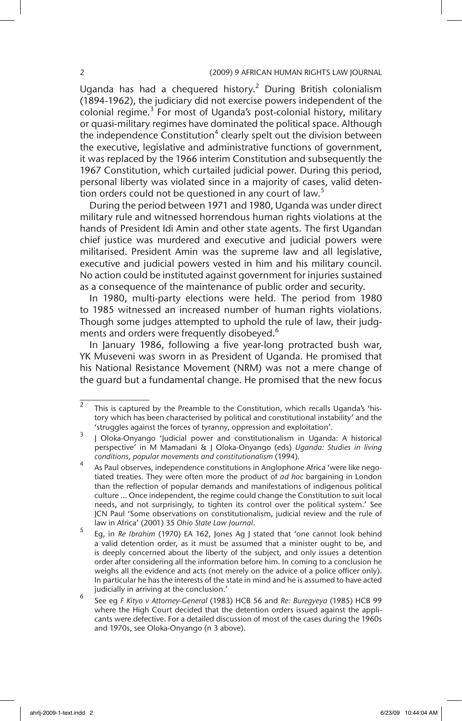Uganda has had a chequered history.<sup>2</sup> During British colonialism (1894-1962), the judiciary did not exercise powers independent of the colonial regime.<sup>3</sup> For most of Uganda's post-colonial history, military or quasi-military regimes have dominated the political space. Although the independence Constitution<sup>4</sup> clearly spelt out the division between the executive, legislative and administrative functions of government, it was replaced by the 1966 interim Constitution and subsequently the 1967 Constitution, which curtailed judicial power. During this period, personal liberty was violated since in a majority of cases, valid detention orders could not be questioned in any court of law.<sup>5</sup>

During the period between 1971 and 1980, Uganda was under direct military rule and witnessed horrendous human rights violations at the hands of President Idi Amin and other state agents. The first Ugandan chief justice was murdered and executive and judicial powers were militarised. President Amin was the supreme law and all legislative, executive and judicial powers vested in him and his military council. No action could be instituted against government for injuries sustained as a consequence of the maintenance of public order and security.

In 1980, multi-party elections were held. The period from 1980 to 1985 witnessed an increased number of human rights violations. Though some judges attempted to uphold the rule of law, their judgments and orders were frequently disobeyed.<sup>6</sup>

In January 1986, following a five year-long protracted bush war, YK Museveni was sworn in as President of Uganda. He promised that his National Resistance Movement (NRM) was not a mere change of the guard but a fundamental change. He promised that the new focus

 $\overline{a}$  This is captured by the Preamble to the Constitution, which recalls Uganda's 'history which has been characterised by political and constitutional instability' and the 'struggles against the forces of tyranny, oppression and exploitation'.

<sup>3</sup> J Oloka-Onyango 'Judicial power and constitutionalism in Uganda: A historical perspective' in M Mamadani & J Oloka-Onyango (eds) *Uganda: Studies in living conditions, popular movements and constitutionalism* (1994)*.*

<sup>4</sup> As Paul observes, independence constitutions in Anglophone Africa 'were like negotiated treaties. They were often more the product of *ad hoc* bargaining in London than the reflection of popular demands and manifestations of indigenous political culture … Once independent, the regime could change the Constitution to suit local needs, and not surprisingly, to tighten its control over the political system.' See JCN Paul 'Some observations on constitutionalism, judicial review and the rule of law in Africa' (2001) 35 *Ohio State Law Journal*.

<sup>5</sup> Eg, in *Re Ibrahim* (1970) EA 162, Jones Ag J stated that 'one cannot look behind a valid detention order, as it must be assumed that a minister ought to be, and is deeply concerned about the liberty of the subject, and only issues a detention order after considering all the information before him. In coming to a conclusion he weighs all the evidence and acts (not merely on the advice of a police officer only). In particular he has the interests of the state in mind and he is assumed to have acted judicially in arriving at the conclusion.'

<sup>6</sup> See eg *F Kityo v Attorney-General* (1983) HCB 56 and *Re: Buregyeya* (1985) HCB 99 where the High Court decided that the detention orders issued against the applicants were defective. For a detailed discussion of most of the cases during the 1960s and 1970s, see Oloka-Onyango (n 3 above).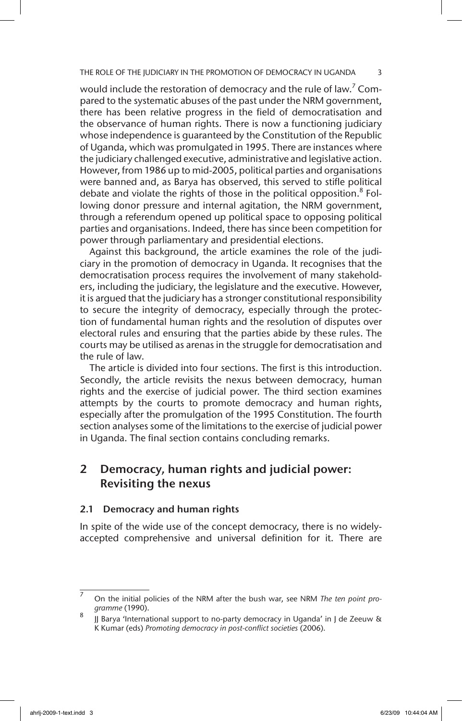would include the restoration of democracy and the rule of law.<sup>7</sup> Compared to the systematic abuses of the past under the NRM government, there has been relative progress in the field of democratisation and the observance of human rights. There is now a functioning judiciary whose independence is guaranteed by the Constitution of the Republic of Uganda, which was promulgated in 1995. There are instances where the judiciary challenged executive, administrative and legislative action. However, from 1986 up to mid-2005, political parties and organisations were banned and, as Barya has observed, this served to stifle political debate and violate the rights of those in the political opposition.<sup>8</sup> Following donor pressure and internal agitation, the NRM government, through a referendum opened up political space to opposing political parties and organisations. Indeed, there has since been competition for power through parliamentary and presidential elections.

Against this background, the article examines the role of the judiciary in the promotion of democracy in Uganda. It recognises that the democratisation process requires the involvement of many stakeholders, including the judiciary, the legislature and the executive. However, it is argued that the judiciary has a stronger constitutional responsibility to secure the integrity of democracy, especially through the protection of fundamental human rights and the resolution of disputes over electoral rules and ensuring that the parties abide by these rules. The courts may be utilised as arenas in the struggle for democratisation and the rule of law.

The article is divided into four sections. The first is this introduction. Secondly, the article revisits the nexus between democracy, human rights and the exercise of judicial power. The third section examines attempts by the courts to promote democracy and human rights, especially after the promulgation of the 1995 Constitution. The fourth section analyses some of the limitations to the exercise of judicial power in Uganda. The final section contains concluding remarks.

# 2 Democracy, human rights and judicial power: Revisiting the nexus

#### 2.1 Democracy and human rights

In spite of the wide use of the concept democracy, there is no widelyaccepted comprehensive and universal definition for it. There are

<sup>7</sup> On the initial policies of the NRM after the bush war, see NRM *The ten point programme* (1990).

<sup>8</sup> JJ Barya 'International support to no-party democracy in Uganda' in J de Zeeuw & K Kumar (eds) *Promoting democracy in post-conflict societies* (2006).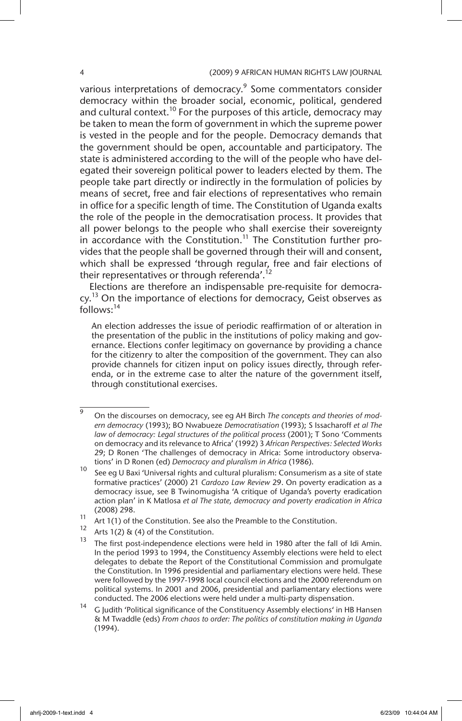various interpretations of democracy.<sup>9</sup> Some commentators consider democracy within the broader social, economic, political, gendered and cultural context.<sup>10</sup> For the purposes of this article, democracy may be taken to mean the form of government in which the supreme power is vested in the people and for the people. Democracy demands that the government should be open, accountable and participatory. The state is administered according to the will of the people who have delegated their sovereign political power to leaders elected by them. The people take part directly or indirectly in the formulation of policies by means of secret, free and fair elections of representatives who remain in office for a specific length of time. The Constitution of Uganda exalts the role of the people in the democratisation process. It provides that all power belongs to the people who shall exercise their sovereignty in accordance with the Constitution.<sup>11</sup> The Constitution further provides that the people shall be governed through their will and consent, which shall be expressed 'through regular, free and fair elections of their representatives or through referenda'.<sup>12</sup>

Elections are therefore an indispensable pre-requisite for democracy.<sup>13</sup> On the importance of elections for democracy, Geist observes as  $follows:$ <sup>14</sup>

An election addresses the issue of periodic reaffirmation of or alteration in the presentation of the public in the institutions of policy making and governance. Elections confer legitimacy on governance by providing a chance for the citizenry to alter the composition of the government. They can also provide channels for citizen input on policy issues directly, through referenda, or in the extreme case to alter the nature of the government itself, through constitutional exercises.

<sup>9</sup> On the discourses on democracy, see eg AH Birch *The concepts and theories of modern democracy* (1993); BO Nwabueze *Democratisation* (1993); S Issacharoff *et al The law of democracy: Legal structures of the political process* (2001); T Sono 'Comments on democracy and its relevance to Africa' (1992) 3 *African Perspectives: Selected Works* 29; D Ronen 'The challenges of democracy in Africa: Some introductory observations' in D Ronen (ed) *Democracy and pluralism in Africa* (1986).

<sup>&</sup>lt;sup>10</sup> See eg U Baxi 'Universal rights and cultural pluralism: Consumerism as a site of state formative practices' (2000) 21 *Cardozo Law Review* 29. On poverty eradication as a democracy issue, see B Twinomugisha 'A critique of Uganda's poverty eradication action plan' in K Matlosa *et al The state, democracy and poverty eradication in Africa* (2008) 298.

<sup>&</sup>lt;sup>11</sup> Art 1(1) of the Constitution. See also the Preamble to the Constitution.

Arts  $1(2)$  & (4) of the Constitution.

 $13$  The first post-independence elections were held in 1980 after the fall of Idi Amin. In the period 1993 to 1994, the Constituency Assembly elections were held to elect delegates to debate the Report of the Constitutional Commission and promulgate the Constitution. In 1996 presidential and parliamentary elections were held. These were followed by the 1997-1998 local council elections and the 2000 referendum on political systems. In 2001 and 2006, presidential and parliamentary elections were conducted. The 2006 elections were held under a multi-party dispensation.

<sup>14</sup> G Judith 'Political significance of the Constituency Assembly elections' in HB Hansen & M Twaddle (eds) *From chaos to order: The politics of constitution making in Uganda* (1994).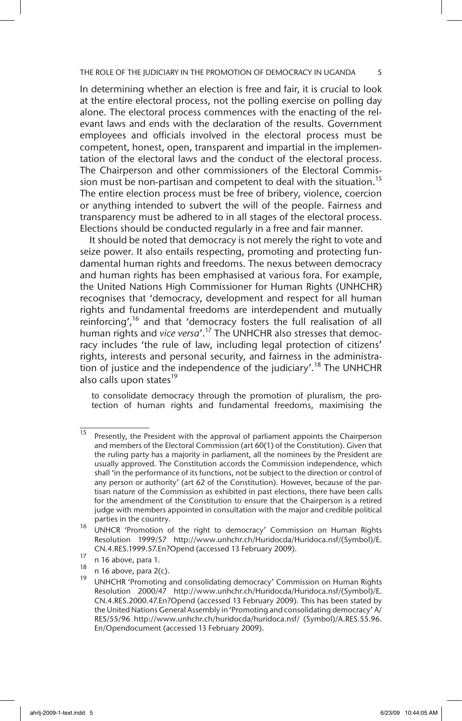In determining whether an election is free and fair, it is crucial to look at the entire electoral process, not the polling exercise on polling day alone. The electoral process commences with the enacting of the relevant laws and ends with the declaration of the results. Government employees and officials involved in the electoral process must be competent, honest, open, transparent and impartial in the implementation of the electoral laws and the conduct of the electoral process. The Chairperson and other commissioners of the Electoral Commission must be non-partisan and competent to deal with the situation.<sup>15</sup> The entire election process must be free of bribery, violence, coercion or anything intended to subvert the will of the people. Fairness and transparency must be adhered to in all stages of the electoral process. Elections should be conducted regularly in a free and fair manner.

It should be noted that democracy is not merely the right to vote and seize power. It also entails respecting, promoting and protecting fundamental human rights and freedoms. The nexus between democracy and human rights has been emphasised at various fora. For example, the United Nations High Commissioner for Human Rights (UNHCHR) recognises that 'democracy, development and respect for all human rights and fundamental freedoms are interdependent and mutually reinforcing',<sup>16</sup> and that 'democracy fosters the full realisation of all human rights and *vice versa*'.17 The UNHCHR also stresses that democracy includes 'the rule of law, including legal protection of citizens' rights, interests and personal security, and fairness in the administration of justice and the independence of the judiciary'.<sup>18</sup> The UNHCHR also calls upon states<sup>19</sup>

to consolidate democracy through the promotion of pluralism, the protection of human rights and fundamental freedoms, maximising the

<sup>&</sup>lt;sup>15</sup> Presently, the President with the approval of parliament appoints the Chairperson and members of the Electoral Commission (art 60(1) of the Constitution). Given that the ruling party has a majority in parliament, all the nominees by the President are usually approved. The Constitution accords the Commission independence, which shall 'in the performance of its functions, not be subject to the direction or control of any person or authority' (art 62 of the Constitution). However, because of the partisan nature of the Commission as exhibited in past elections, there have been calls for the amendment of the Constitution to ensure that the Chairperson is a retired judge with members appointed in consultation with the major and credible political parties in the country.

<sup>&</sup>lt;sup>16</sup> UNHCR 'Promotion of the right to democracy' Commission on Human Rights Resolution 1999/57 http://www.unhchr.ch/Huridocda/Huridoca.nsf/(Symbol)/E. CN.4.RES.1999.57.En?Opend (accessed 13 February 2009).

 $\frac{17}{18}$  n 16 above, para 1.

 $\frac{18}{19}$  n 16 above, para 2(c).

<sup>19</sup> UNHCHR 'Promoting and consolidating democracy' Commission on Human Rights Resolution 2000/47 http://www.unhchr.ch/Huridocda/Huridoca.nsf/(Symbol)/E. CN.4.RES.2000.47.En?Opend (accessed 13 February 2009). This has been stated by the United Nations General Assembly in 'Promoting and consolidating democracy' A/ RES/55/96 http://www.unhchr.ch/huridocda/huridoca.nsf/ (Symbol)/A.RES.55.96. En/Opendocument (accessed 13 February 2009).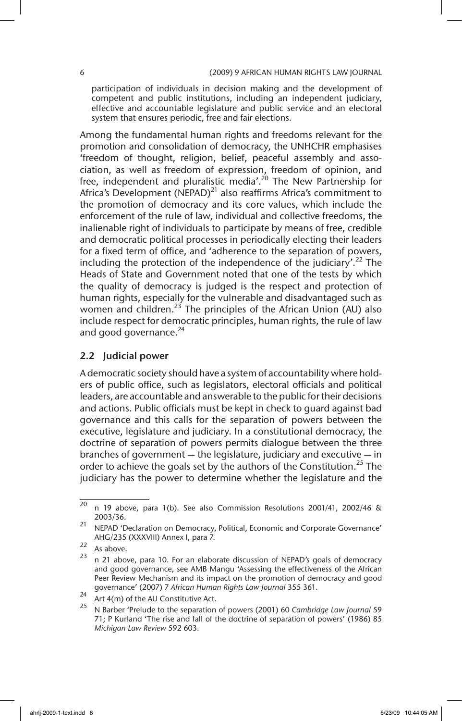participation of individuals in decision making and the development of competent and public institutions, including an independent judiciary, effective and accountable legislature and public service and an electoral system that ensures periodic, free and fair elections.

Among the fundamental human rights and freedoms relevant for the promotion and consolidation of democracy, the UNHCHR emphasises 'freedom of thought, religion, belief, peaceful assembly and association, as well as freedom of expression, freedom of opinion, and free, independent and pluralistic media'.<sup>20</sup> The New Partnership for Africa's Development (NEPAD)<sup>21</sup> also reaffirms Africa's commitment to the promotion of democracy and its core values, which include the enforcement of the rule of law, individual and collective freedoms, the inalienable right of individuals to participate by means of free, credible and democratic political processes in periodically electing their leaders for a fixed term of office, and 'adherence to the separation of powers, including the protection of the independence of the judiciary'.<sup>22</sup> The Heads of State and Government noted that one of the tests by which the quality of democracy is judged is the respect and protection of human rights, especially for the vulnerable and disadvantaged such as women and children.<sup>23</sup> The principles of the African Union (AU) also include respect for democratic principles, human rights, the rule of law and good governance. $^{24}$ 

#### 2.2 Judicial power

A democratic society should have a system of accountability where holders of public office, such as legislators, electoral officials and political leaders, are accountable and answerable to the public for their decisions and actions. Public officials must be kept in check to guard against bad governance and this calls for the separation of powers between the executive, legislature and judiciary. In a constitutional democracy, the doctrine of separation of powers permits dialogue between the three branches of government — the legislature, judiciary and executive — in order to achieve the goals set by the authors of the Constitution.<sup>25</sup> The judiciary has the power to determine whether the legislature and the

 $^{20}$  n 19 above, para 1(b). See also Commission Resolutions 2001/41, 2002/46 & 2003/36.

 $21$  NEPAD 'Declaration on Democracy, Political, Economic and Corporate Governance' AHG/235 (XXXVIII) Annex I, para 7.

 $\frac{22}{23}$  As above.

<sup>23</sup> n 21 above, para 10. For an elaborate discussion of NEPAD's goals of democracy and good governance, see AMB Mangu 'Assessing the effectiveness of the African Peer Review Mechanism and its impact on the promotion of democracy and good governance' (2007) 7 *African Human Rights Law Journal* 355 361.

<sup>&</sup>lt;sup>24</sup> Art 4(m) of the AU Constitutive Act.

<sup>25</sup> N Barber 'Prelude to the separation of powers (2001) 60 *Cambridge Law Journal* 59 71; P Kurland 'The rise and fall of the doctrine of separation of powers' (1986) 85 *Michigan Law Review* 592 603.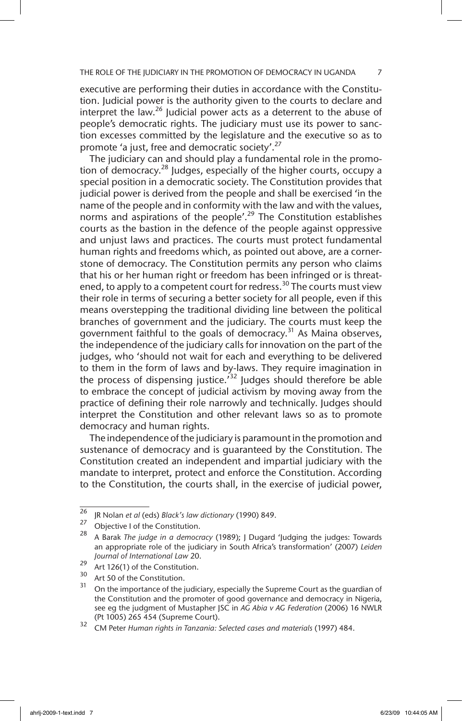executive are performing their duties in accordance with the Constitution. Judicial power is the authority given to the courts to declare and interpret the law.<sup>26</sup> Judicial power acts as a deterrent to the abuse of people's democratic rights. The judiciary must use its power to sanction excesses committed by the legislature and the executive so as to promote 'a just, free and democratic society'.<sup>27</sup>

The judiciary can and should play a fundamental role in the promotion of democracy.<sup>28</sup> Judges, especially of the higher courts, occupy a special position in a democratic society. The Constitution provides that judicial power is derived from the people and shall be exercised 'in the name of the people and in conformity with the law and with the values, norms and aspirations of the people'.<sup>29</sup> The Constitution establishes courts as the bastion in the defence of the people against oppressive and unjust laws and practices. The courts must protect fundamental human rights and freedoms which, as pointed out above, are a cornerstone of democracy. The Constitution permits any person who claims that his or her human right or freedom has been infringed or is threatened, to apply to a competent court for redress.<sup>30</sup> The courts must view their role in terms of securing a better society for all people, even if this means overstepping the traditional dividing line between the political branches of government and the judiciary. The courts must keep the government faithful to the goals of democracy.<sup>31</sup> As Maina observes, the independence of the judiciary calls for innovation on the part of the judges, who 'should not wait for each and everything to be delivered to them in the form of laws and by-laws. They require imagination in the process of dispensing justice.<sup>32</sup> Judges should therefore be able to embrace the concept of judicial activism by moving away from the practice of defining their role narrowly and technically. Judges should interpret the Constitution and other relevant laws so as to promote democracy and human rights.

The independence of the judiciary is paramount in the promotion and sustenance of democracy and is guaranteed by the Constitution. The Constitution created an independent and impartial judiciary with the mandate to interpret, protect and enforce the Constitution. According to the Constitution, the courts shall, in the exercise of judicial power,

<sup>26</sup> JR Nolan *et al* (eds) *Black's law dictionary* (1990) 849.

<sup>&</sup>lt;sup>27</sup> Objective I of the Constitution.

<sup>28</sup> A Barak *The judge in a democracy* (1989); J Dugard 'Judging the judges: Towards an appropriate role of the judiciary in South Africa's transformation' (2007) *Leiden Journal of International Law* 20.

<sup>&</sup>lt;sup>29</sup> Art 126(1) of the Constitution.

 $30$  Art 50 of the Constitution.

On the importance of the judiciary, especially the Supreme Court as the guardian of the Constitution and the promoter of good governance and democracy in Nigeria, see eg the judgment of Mustapher JSC in *AG Abia v AG Federation* (2006) 16 NWLR (Pt 1005) 265 454 (Supreme Court).

<sup>32</sup> CM Peter *Human rights in Tanzania: Selected cases and materials* (1997) 484.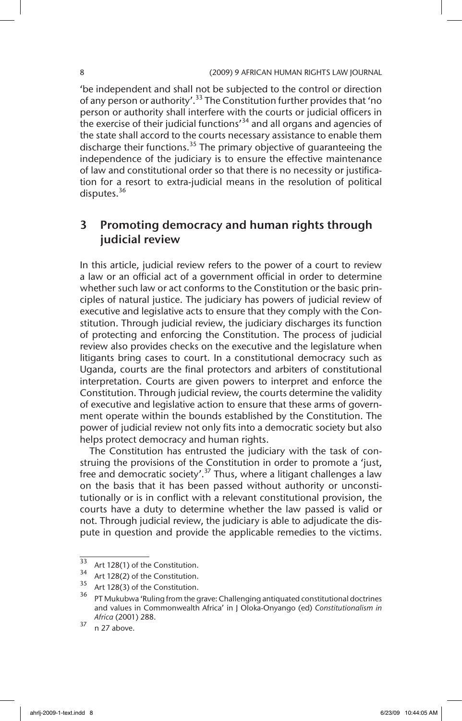'be independent and shall not be subjected to the control or direction of any person or authority'.<sup>33</sup> The Constitution further provides that 'no person or authority shall interfere with the courts or judicial officers in the exercise of their judicial functions<sup>34</sup> and all organs and agencies of the state shall accord to the courts necessary assistance to enable them discharge their functions.<sup>35</sup> The primary objective of quaranteeing the independence of the judiciary is to ensure the effective maintenance of law and constitutional order so that there is no necessity or justification for a resort to extra-judicial means in the resolution of political disputes.<sup>36</sup>

# 3 Promoting democracy and human rights through judicial review

In this article, judicial review refers to the power of a court to review a law or an official act of a government official in order to determine whether such law or act conforms to the Constitution or the basic principles of natural justice. The judiciary has powers of judicial review of executive and legislative acts to ensure that they comply with the Constitution. Through judicial review, the judiciary discharges its function of protecting and enforcing the Constitution. The process of judicial review also provides checks on the executive and the legislature when litigants bring cases to court. In a constitutional democracy such as Uganda, courts are the final protectors and arbiters of constitutional interpretation. Courts are given powers to interpret and enforce the Constitution. Through judicial review, the courts determine the validity of executive and legislative action to ensure that these arms of government operate within the bounds established by the Constitution. The power of judicial review not only fits into a democratic society but also helps protect democracy and human rights.

The Constitution has entrusted the judiciary with the task of construing the provisions of the Constitution in order to promote a 'just, free and democratic society'.<sup>37</sup> Thus, where a litigant challenges a law on the basis that it has been passed without authority or unconstitutionally or is in conflict with a relevant constitutional provision, the courts have a duty to determine whether the law passed is valid or not. Through judicial review, the judiciary is able to adjudicate the dispute in question and provide the applicable remedies to the victims.

 $\frac{33}{33}$  Art 128(1) of the Constitution.

 $35$  Art 128(2) of the Constitution.

Art 128(3) of the Constitution.

<sup>&</sup>lt;sup>36</sup> PT Mukubwa 'Ruling from the grave: Challenging antiquated constitutional doctrines and values in Commonwealth Africa' in J Oloka-Onyango (ed) *Constitutionalism in Africa* (2001) 288.

 $37$  n 27 above.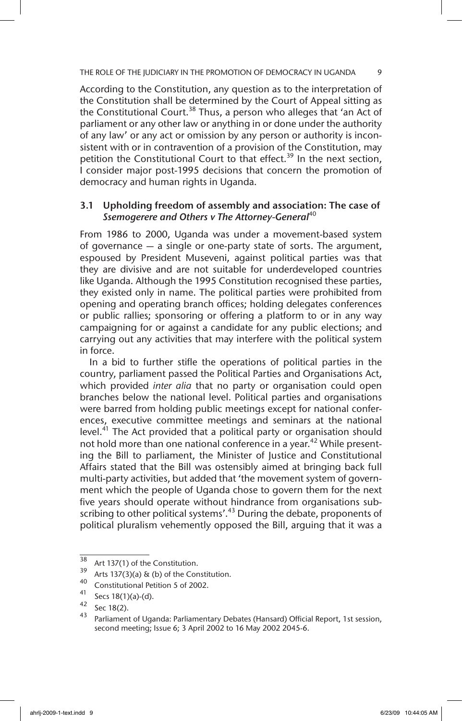According to the Constitution, any question as to the interpretation of the Constitution shall be determined by the Court of Appeal sitting as the Constitutional Court.<sup>38</sup> Thus, a person who alleges that 'an Act of parliament or any other law or anything in or done under the authority of any law' or any act or omission by any person or authority is inconsistent with or in contravention of a provision of the Constitution, may petition the Constitutional Court to that effect.<sup>39</sup> In the next section, I consider major post-1995 decisions that concern the promotion of democracy and human rights in Uganda.

#### 3.1 Upholding freedom of assembly and association: The case of *Ssemogerere and Others v The Attorney-General*<sup>40</sup>

From 1986 to 2000, Uganda was under a movement-based system of governance — a single or one-party state of sorts. The argument, espoused by President Museveni, against political parties was that they are divisive and are not suitable for underdeveloped countries like Uganda. Although the 1995 Constitution recognised these parties, they existed only in name. The political parties were prohibited from opening and operating branch offices; holding delegates conferences or public rallies; sponsoring or offering a platform to or in any way campaigning for or against a candidate for any public elections; and carrying out any activities that may interfere with the political system in force.

In a bid to further stifle the operations of political parties in the country, parliament passed the Political Parties and Organisations Act, which provided *inter alia* that no party or organisation could open branches below the national level. Political parties and organisations were barred from holding public meetings except for national conferences, executive committee meetings and seminars at the national level. $41$ <sup>1</sup> The Act provided that a political party or organisation should not hold more than one national conference in a year.<sup>42</sup> While presenting the Bill to parliament, the Minister of Justice and Constitutional Affairs stated that the Bill was ostensibly aimed at bringing back full multi-party activities, but added that 'the movement system of government which the people of Uganda chose to govern them for the next five years should operate without hindrance from organisations subscribing to other political systems'.<sup>43</sup> During the debate, proponents of political pluralism vehemently opposed the Bill, arguing that it was a

 $38$  Art 137(1) of the Constitution.

<sup>&</sup>lt;sup>39</sup> Arts 137(3)(a) & (b) of the Constitution.

<sup>&</sup>lt;sup>40</sup> Constitutional Petition 5 of 2002.

 $^{41}$  Secs 18(1)(a)-(d).

 $^{42}$  Sec 18(2).

Parliament of Uganda: Parliamentary Debates (Hansard) Official Report, 1st session, second meeting; Issue 6; 3 April 2002 to 16 May 2002 2045-6.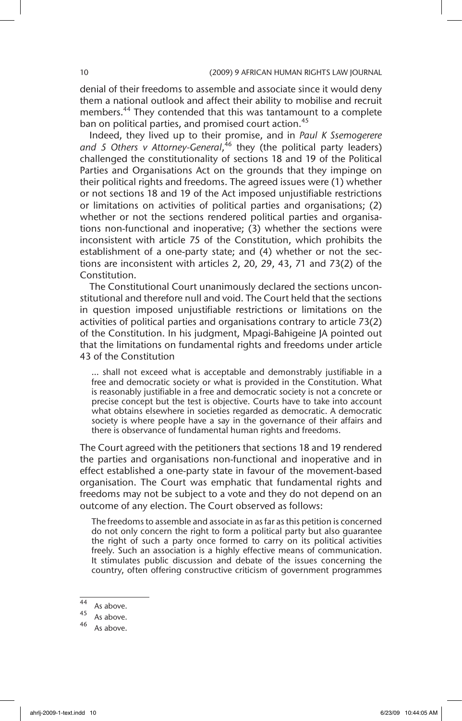denial of their freedoms to assemble and associate since it would deny them a national outlook and affect their ability to mobilise and recruit members.<sup>44</sup> They contended that this was tantamount to a complete ban on political parties, and promised court action.<sup>45</sup>

Indeed, they lived up to their promise, and in *Paul K Ssemogerere and 5 Others v Attorney-General*, 46 they (the political party leaders) challenged the constitutionality of sections 18 and 19 of the Political Parties and Organisations Act on the grounds that they impinge on their political rights and freedoms. The agreed issues were (1) whether or not sections 18 and 19 of the Act imposed unjustifiable restrictions or limitations on activities of political parties and organisations; (2) whether or not the sections rendered political parties and organisations non-functional and inoperative; (3) whether the sections were inconsistent with article 75 of the Constitution, which prohibits the establishment of a one-party state; and (4) whether or not the sections are inconsistent with articles 2, 20, 29, 43, 71 and 73(2) of the Constitution.

The Constitutional Court unanimously declared the sections unconstitutional and therefore null and void. The Court held that the sections in question imposed unjustifiable restrictions or limitations on the activities of political parties and organisations contrary to article 73(2) of the Constitution. In his judgment, Mpagi-Bahigeine JA pointed out that the limitations on fundamental rights and freedoms under article 43 of the Constitution

… shall not exceed what is acceptable and demonstrably justifiable in a free and democratic society or what is provided in the Constitution. What is reasonably justifiable in a free and democratic society is not a concrete or precise concept but the test is objective. Courts have to take into account what obtains elsewhere in societies regarded as democratic. A democratic society is where people have a say in the governance of their affairs and there is observance of fundamental human rights and freedoms.

The Court agreed with the petitioners that sections 18 and 19 rendered the parties and organisations non-functional and inoperative and in effect established a one-party state in favour of the movement-based organisation. The Court was emphatic that fundamental rights and freedoms may not be subject to a vote and they do not depend on an outcome of any election. The Court observed as follows:

The freedoms to assemble and associate in as far as this petition is concerned do not only concern the right to form a political party but also guarantee the right of such a party once formed to carry on its political activities freely. Such an association is a highly effective means of communication. It stimulates public discussion and debate of the issues concerning the country, often offering constructive criticism of government programmes

 $\frac{44}{45}$  As above.

 $45$  As above.

As above.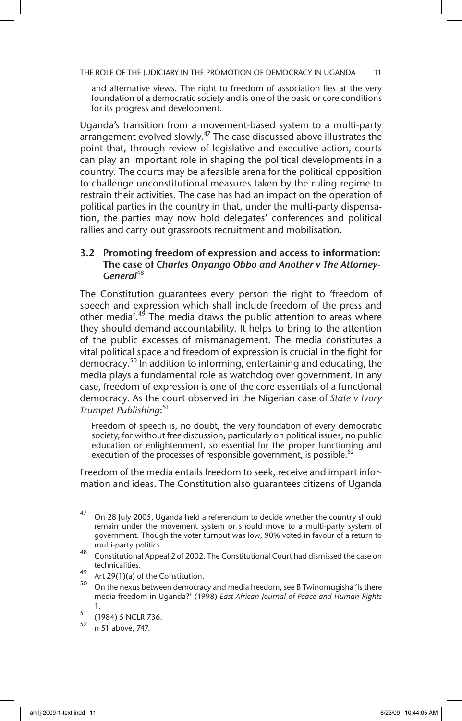and alternative views. The right to freedom of association lies at the very foundation of a democratic society and is one of the basic or core conditions for its progress and development.

Uganda's transition from a movement-based system to a multi-party arrangement evolved slowly.<sup>47</sup> The case discussed above illustrates the point that, through review of legislative and executive action, courts can play an important role in shaping the political developments in a country. The courts may be a feasible arena for the political opposition to challenge unconstitutional measures taken by the ruling regime to restrain their activities. The case has had an impact on the operation of political parties in the country in that, under the multi-party dispensation, the parties may now hold delegates' conferences and political rallies and carry out grassroots recruitment and mobilisation.

#### 3.2 Promoting freedom of expression and access to information: The case of *Charles Onyango Obbo and Another v The Attorney-General*<sup>48</sup>

The Constitution guarantees every person the right to 'freedom of speech and expression which shall include freedom of the press and other media'.<sup>49</sup> The media draws the public attention to areas where they should demand accountability. It helps to bring to the attention of the public excesses of mismanagement. The media constitutes a vital political space and freedom of expression is crucial in the fight for democracy.<sup>50</sup> In addition to informing, entertaining and educating, the media plays a fundamental role as watchdog over government. In any case, freedom of expression is one of the core essentials of a functional democracy. As the court observed in the Nigerian case of *State v Ivory Trumpet Publishing*: 51

Freedom of speech is, no doubt, the very foundation of every democratic society, for without free discussion, particularly on political issues, no public education or enlightenment, so essential for the proper functioning and execution of the processes of responsible government, is possible.

Freedom of the media entails freedom to seek, receive and impart information and ideas. The Constitution also guarantees citizens of Uganda

 $\frac{47}{4}$  On 28 July 2005, Uganda held a referendum to decide whether the country should remain under the movement system or should move to a multi-party system of government. Though the voter turnout was low, 90% voted in favour of a return to multi-party politics.

<sup>48</sup> Constitutional Appeal 2 of 2002. The Constitutional Court had dismissed the case on technicalities.

<sup>&</sup>lt;sup>49</sup> Art 29(1)(a) of the Constitution.

On the nexus between democracy and media freedom, see B Twinomugisha 'Is there media freedom in Uganda?' (1998) *East African Journal of Peace and Human Rights* 1.

 $\frac{51}{52}$  (1984) 5 NCLR 736.

<sup>52</sup> n 51 above, 747.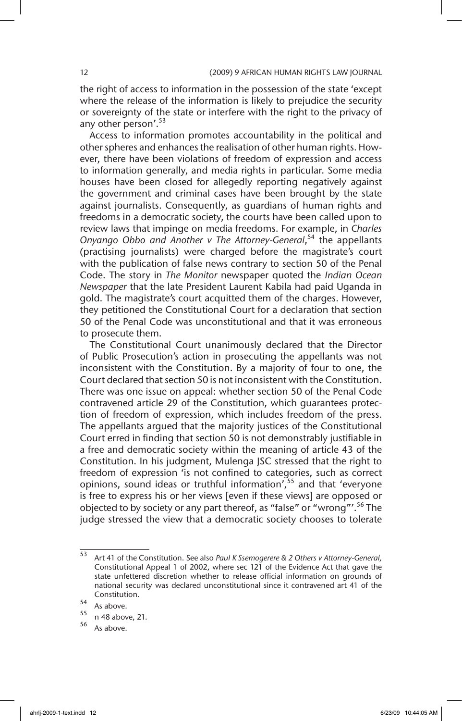the right of access to information in the possession of the state 'except where the release of the information is likely to prejudice the security or sovereignty of the state or interfere with the right to the privacy of any other person'.<sup>53</sup>

Access to information promotes accountability in the political and other spheres and enhances the realisation of other human rights. However, there have been violations of freedom of expression and access to information generally, and media rights in particular. Some media houses have been closed for allegedly reporting negatively against the government and criminal cases have been brought by the state against journalists. Consequently, as guardians of human rights and freedoms in a democratic society, the courts have been called upon to review laws that impinge on media freedoms. For example, in *Charles Onyango Obbo and Another v The Attorney-General*, 54 the appellants (practising journalists) were charged before the magistrate's court with the publication of false news contrary to section 50 of the Penal Code. The story in *The Monitor* newspaper quoted the *Indian Ocean Newspaper* that the late President Laurent Kabila had paid Uganda in gold. The magistrate's court acquitted them of the charges. However, they petitioned the Constitutional Court for a declaration that section 50 of the Penal Code was unconstitutional and that it was erroneous to prosecute them.

The Constitutional Court unanimously declared that the Director of Public Prosecution's action in prosecuting the appellants was not inconsistent with the Constitution. By a majority of four to one, the Court declared that section 50 is not inconsistent with the Constitution. There was one issue on appeal: whether section 50 of the Penal Code contravened article 29 of the Constitution, which guarantees protection of freedom of expression, which includes freedom of the press. The appellants argued that the majority justices of the Constitutional Court erred in finding that section 50 is not demonstrably justifiable in a free and democratic society within the meaning of article 43 of the Constitution. In his judgment, Mulenga JSC stressed that the right to freedom of expression 'is not confined to categories, such as correct opinions, sound ideas or truthful information', $55$  and that 'everyone is free to express his or her views [even if these views] are opposed or objected to by society or any part thereof, as "false" or "wrong"'.<sup>56</sup> The judge stressed the view that a democratic society chooses to tolerate

<sup>53</sup> Art 41 of the Constitution. See also *Paul K Ssemogerere & 2 Others v Attorney-General,* Constitutional Appeal 1 of 2002, where sec 121 of the Evidence Act that gave the state unfettered discretion whether to release official information on grounds of national security was declared unconstitutional since it contravened art 41 of the Constitution.

 $\frac{54}{55}$  As above.

 $\frac{55}{56}$  n 48 above, 21.

As above.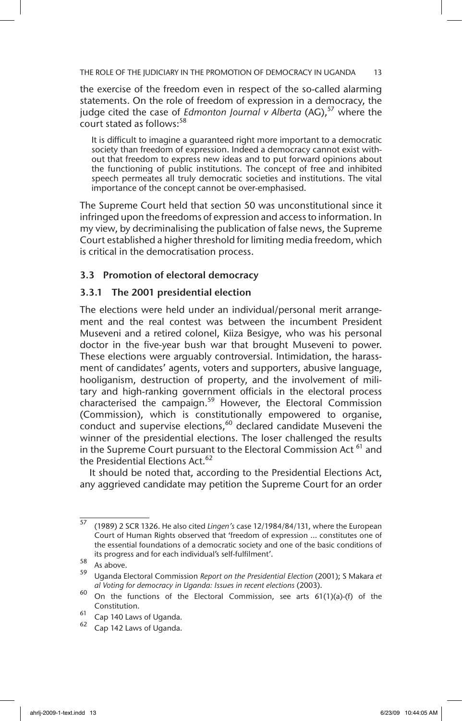the exercise of the freedom even in respect of the so-called alarming statements. On the role of freedom of expression in a democracy, the judge cited the case of *Edmonton Journal v Alberta* (AG),<sup>57</sup> where the court stated as follows:<sup>58</sup>

It is difficult to imagine a guaranteed right more important to a democratic society than freedom of expression. Indeed a democracy cannot exist without that freedom to express new ideas and to put forward opinions about the functioning of public institutions. The concept of free and inhibited speech permeates all truly democratic societies and institutions. The vital importance of the concept cannot be over-emphasised.

The Supreme Court held that section 50 was unconstitutional since it infringed upon the freedoms of expression and access to information. In my view, by decriminalising the publication of false news, the Supreme Court established a higher threshold for limiting media freedom, which is critical in the democratisation process.

#### 3.3 Promotion of electoral democracy

#### 3.3.1 The 2001 presidential election

The elections were held under an individual/personal merit arrangement and the real contest was between the incumbent President Museveni and a retired colonel, Kiiza Besigye, who was his personal doctor in the five-year bush war that brought Museveni to power. These elections were arguably controversial. Intimidation, the harassment of candidates' agents, voters and supporters, abusive language, hooliganism, destruction of property, and the involvement of military and high-ranking government officials in the electoral process characterised the campaign.<sup>59</sup> However, the Electoral Commission (Commission), which is constitutionally empowered to organise, conduct and supervise elections, $60$  declared candidate Museveni the winner of the presidential elections. The loser challenged the results in the Supreme Court pursuant to the Electoral Commission Act<sup>61</sup> and the Presidential Elections Act.<sup>62</sup>

It should be noted that, according to the Presidential Elections Act, any aggrieved candidate may petition the Supreme Court for an order

<sup>57</sup> (1989) 2 SCR 1326. He also cited *Lingen's* case 12/1984/84/131, where the European Court of Human Rights observed that 'freedom of expression ... constitutes one of the essential foundations of a democratic society and one of the basic conditions of its progress and for each individual's self-fulfilment'.

 $58$  As above.

<sup>59</sup> Uganda Electoral Commission *Report on the Presidential Election* (2001); S Makara *et al Voting for democracy in Uganda: Issues in recent elections* (2003).

 $60$  On the functions of the Electoral Commission, see arts  $61(1)(a)$ -(f) of the Constitution.

<sup>61</sup> Cap 140 Laws of Uganda.

Cap 142 Laws of Uganda.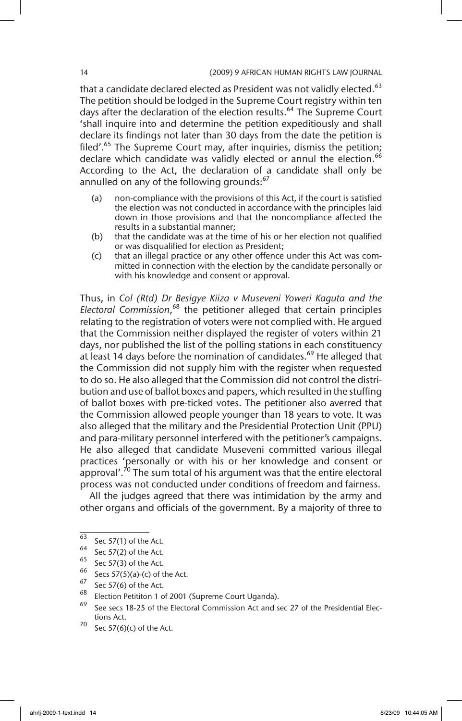that a candidate declared elected as President was not validly elected.<sup>63</sup> The petition should be lodged in the Supreme Court registry within ten days after the declaration of the election results.<sup>64</sup> The Supreme Court 'shall inquire into and determine the petition expeditiously and shall declare its findings not later than 30 days from the date the petition is filed'.<sup>65</sup> The Supreme Court may, after inquiries, dismiss the petition; declare which candidate was validly elected or annul the election.<sup>66</sup> According to the Act, the declaration of a candidate shall only be annulled on any of the following grounds:<sup>67</sup>

- (a) non-compliance with the provisions of this Act, if the court is satisfied the election was not conducted in accordance with the principles laid down in those provisions and that the noncompliance affected the results in a substantial manner;
- (b) that the candidate was at the time of his or her election not qualified or was disqualified for election as President;
- (c) that an illegal practice or any other offence under this Act was committed in connection with the election by the candidate personally or with his knowledge and consent or approval.

Thus, in *Col (Rtd) Dr Besigye Kiiza v Museveni Yoweri Kaguta and the Electoral Commission*, 68 the petitioner alleged that certain principles relating to the registration of voters were not complied with. He argued that the Commission neither displayed the register of voters within 21 days, nor published the list of the polling stations in each constituency at least 14 days before the nomination of candidates.<sup>69</sup> He alleged that the Commission did not supply him with the register when requested to do so. He also alleged that the Commission did not control the distribution and use of ballot boxes and papers, which resulted in the stuffing of ballot boxes with pre-ticked votes. The petitioner also averred that the Commission allowed people younger than 18 years to vote. It was also alleged that the military and the Presidential Protection Unit (PPU) and para-military personnel interfered with the petitioner's campaigns. He also alleged that candidate Museveni committed various illegal practices 'personally or with his or her knowledge and consent or approval'.<sup>70</sup> The sum total of his argument was that the entire electoral process was not conducted under conditions of freedom and fairness.

All the judges agreed that there was intimidation by the army and other organs and officials of the government. By a majority of three to

 $^{63}$  Sec 57(1) of the Act.

 $^{64}$  Sec 57(2) of the Act.

<sup>&</sup>lt;sup>65</sup> Sec 57(3) of the Act.

<sup>&</sup>lt;sup>66</sup> Secs 57(5)(a)-(c) of the Act.

 $^{67}$  Sec 57(6) of the Act.

 $^{68}$  Election Petititon 1 of 2001 (Supreme Court Uganda).

<sup>69</sup> See secs 18-25 of the Electoral Commission Act and sec 27 of the Presidential Elections Act.

 $70$  Sec 57(6)(c) of the Act.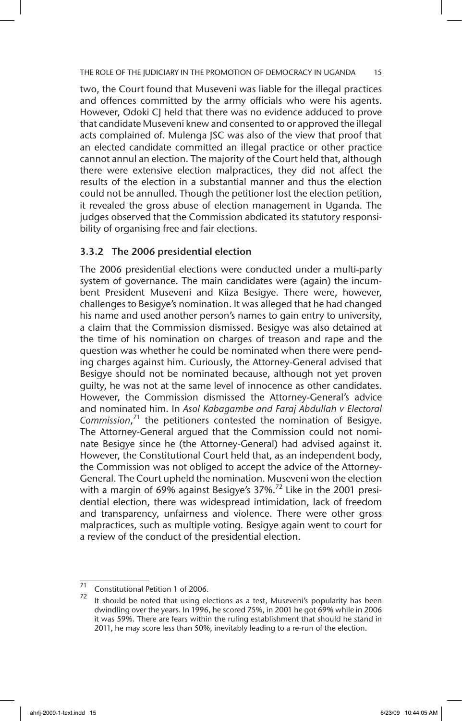two, the Court found that Museveni was liable for the illegal practices and offences committed by the army officials who were his agents. However, Odoki CJ held that there was no evidence adduced to prove that candidate Museveni knew and consented to or approved the illegal acts complained of. Mulenga JSC was also of the view that proof that an elected candidate committed an illegal practice or other practice cannot annul an election. The majority of the Court held that, although there were extensive election malpractices, they did not affect the results of the election in a substantial manner and thus the election could not be annulled. Though the petitioner lost the election petition, it revealed the gross abuse of election management in Uganda. The judges observed that the Commission abdicated its statutory responsibility of organising free and fair elections.

#### 3.3.2 The 2006 presidential election

The 2006 presidential elections were conducted under a multi-party system of governance. The main candidates were (again) the incumbent President Museveni and Kiiza Besigye. There were, however, challenges to Besigye's nomination. It was alleged that he had changed his name and used another person's names to gain entry to university, a claim that the Commission dismissed. Besigye was also detained at the time of his nomination on charges of treason and rape and the question was whether he could be nominated when there were pending charges against him. Curiously, the Attorney-General advised that Besigye should not be nominated because, although not yet proven guilty, he was not at the same level of innocence as other candidates. However, the Commission dismissed the Attorney-General's advice and nominated him. In *Asol Kabagambe and Faraj Abdullah v Electoral Commission*, 71 the petitioners contested the nomination of Besigye. The Attorney-General argued that the Commission could not nominate Besigye since he (the Attorney-General) had advised against it. However, the Constitutional Court held that, as an independent body, the Commission was not obliged to accept the advice of the Attorney-General. The Court upheld the nomination. Museveni won the election with a margin of 69% against Besigye's  $37\%$ .<sup>72</sup> Like in the 2001 presidential election, there was widespread intimidation, lack of freedom and transparency, unfairness and violence. There were other gross malpractices, such as multiple voting*.* Besigye again went to court for a review of the conduct of the presidential election.

 $\frac{71}{71}$  Constitutional Petition 1 of 2006.

It should be noted that using elections as a test, Museveni's popularity has been dwindling over the years. In 1996, he scored 75%, in 2001 he got 69% while in 2006 it was 59%. There are fears within the ruling establishment that should he stand in 2011, he may score less than 50%, inevitably leading to a re-run of the election.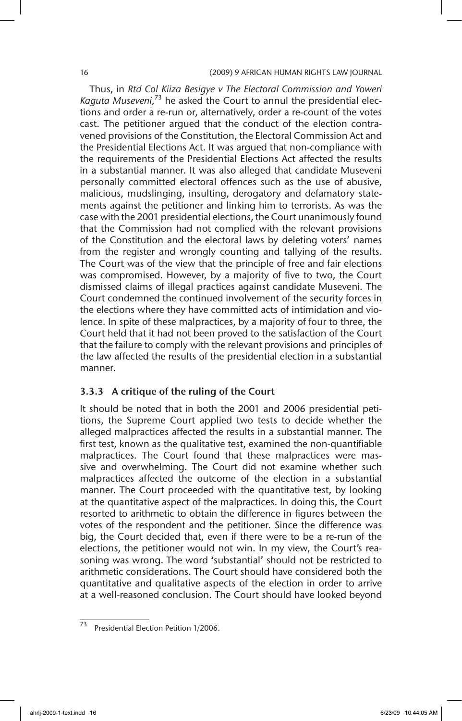#### 16 (2009) 9 AFRICAN HUMAN RIGHTS LAW JOURNAL

Thus, in *Rtd Col Kiiza Besigye v The Electoral Commission and Yoweri Kaguta Museveni,*73 he asked the Court to annul the presidential elections and order a re-run or, alternatively, order a re-count of the votes cast. The petitioner argued that the conduct of the election contravened provisions of the Constitution, the Electoral Commission Act and the Presidential Elections Act. It was argued that non-compliance with the requirements of the Presidential Elections Act affected the results in a substantial manner. It was also alleged that candidate Museveni personally committed electoral offences such as the use of abusive, malicious, mudslinging, insulting, derogatory and defamatory statements against the petitioner and linking him to terrorists. As was the case with the 2001 presidential elections, the Court unanimously found that the Commission had not complied with the relevant provisions of the Constitution and the electoral laws by deleting voters' names from the register and wrongly counting and tallying of the results. The Court was of the view that the principle of free and fair elections was compromised. However, by a majority of five to two, the Court dismissed claims of illegal practices against candidate Museveni. The Court condemned the continued involvement of the security forces in the elections where they have committed acts of intimidation and violence. In spite of these malpractices, by a majority of four to three, the Court held that it had not been proved to the satisfaction of the Court that the failure to comply with the relevant provisions and principles of the law affected the results of the presidential election in a substantial manner.

#### 3.3.3 A critique of the ruling of the Court

It should be noted that in both the 2001 and 2006 presidential petitions, the Supreme Court applied two tests to decide whether the alleged malpractices affected the results in a substantial manner. The first test, known as the qualitative test, examined the non-quantifiable malpractices. The Court found that these malpractices were massive and overwhelming. The Court did not examine whether such malpractices affected the outcome of the election in a substantial manner. The Court proceeded with the quantitative test, by looking at the quantitative aspect of the malpractices. In doing this, the Court resorted to arithmetic to obtain the difference in figures between the votes of the respondent and the petitioner. Since the difference was big, the Court decided that, even if there were to be a re-run of the elections, the petitioner would not win. In my view, the Court's reasoning was wrong. The word 'substantial' should not be restricted to arithmetic considerations. The Court should have considered both the quantitative and qualitative aspects of the election in order to arrive at a well-reasoned conclusion. The Court should have looked beyond

 $\overline{73}$  Presidential Election Petition 1/2006.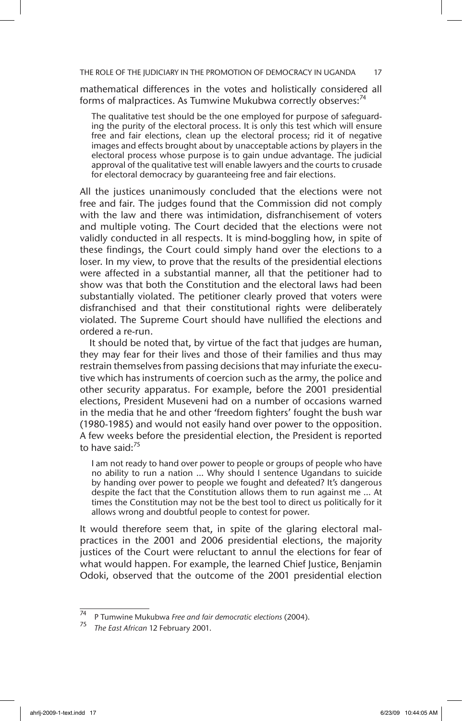mathematical differences in the votes and holistically considered all forms of malpractices. As Tumwine Mukubwa correctly observes:<sup>74</sup>

The qualitative test should be the one employed for purpose of safeguarding the purity of the electoral process. It is only this test which will ensure free and fair elections, clean up the electoral process; rid it of negative images and effects brought about by unacceptable actions by players in the electoral process whose purpose is to gain undue advantage. The judicial approval of the qualitative test will enable lawyers and the courts to crusade for electoral democracy by guaranteeing free and fair elections.

All the justices unanimously concluded that the elections were not free and fair. The judges found that the Commission did not comply with the law and there was intimidation, disfranchisement of voters and multiple voting. The Court decided that the elections were not validly conducted in all respects. It is mind-boggling how, in spite of these findings, the Court could simply hand over the elections to a loser. In my view, to prove that the results of the presidential elections were affected in a substantial manner, all that the petitioner had to show was that both the Constitution and the electoral laws had been substantially violated. The petitioner clearly proved that voters were disfranchised and that their constitutional rights were deliberately violated. The Supreme Court should have nullified the elections and ordered a re-run.

It should be noted that, by virtue of the fact that judges are human, they may fear for their lives and those of their families and thus may restrain themselves from passing decisions that may infuriate the executive which has instruments of coercion such as the army, the police and other security apparatus. For example, before the 2001 presidential elections, President Museveni had on a number of occasions warned in the media that he and other 'freedom fighters' fought the bush war (1980-1985) and would not easily hand over power to the opposition. A few weeks before the presidential election, the President is reported to have said: $75$ 

I am not ready to hand over power to people or groups of people who have no ability to run a nation … Why should I sentence Ugandans to suicide by handing over power to people we fought and defeated? It's dangerous despite the fact that the Constitution allows them to run against me … At times the Constitution may not be the best tool to direct us politically for it allows wrong and doubtful people to contest for power.

It would therefore seem that, in spite of the glaring electoral malpractices in the 2001 and 2006 presidential elections, the majority justices of the Court were reluctant to annul the elections for fear of what would happen. For example, the learned Chief Justice, Benjamin Odoki, observed that the outcome of the 2001 presidential election

<sup>74</sup> P Tumwine Mukubwa *Free and fair democratic elections* (2004).

<sup>75</sup> *The East African* 12 February 2001.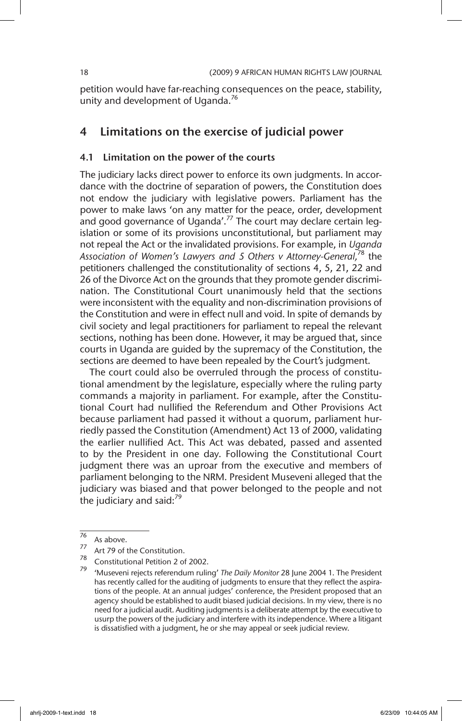petition would have far-reaching consequences on the peace, stability, unity and development of Uganda.<sup>76</sup>

### 4 Limitations on the exercise of judicial power

#### 4.1 Limitation on the power of the courts

The judiciary lacks direct power to enforce its own judgments. In accordance with the doctrine of separation of powers, the Constitution does not endow the judiciary with legislative powers. Parliament has the power to make laws 'on any matter for the peace, order, development and good governance of Uganda'.<sup>77</sup> The court may declare certain legislation or some of its provisions unconstitutional, but parliament may not repeal the Act or the invalidated provisions. For example, in *Uganda Association of Women's Lawyers and 5 Others v Attorney-General,*<sup>78</sup> the petitioners challenged the constitutionality of sections 4, 5, 21, 22 and 26 of the Divorce Act on the grounds that they promote gender discrimination. The Constitutional Court unanimously held that the sections were inconsistent with the equality and non-discrimination provisions of the Constitution and were in effect null and void. In spite of demands by civil society and legal practitioners for parliament to repeal the relevant sections, nothing has been done. However, it may be argued that, since courts in Uganda are guided by the supremacy of the Constitution, the sections are deemed to have been repealed by the Court's judgment.

The court could also be overruled through the process of constitutional amendment by the legislature, especially where the ruling party commands a majority in parliament. For example, after the Constitutional Court had nullified the Referendum and Other Provisions Act because parliament had passed it without a quorum, parliament hurriedly passed the Constitution (Amendment) Act 13 of 2000, validating the earlier nullified Act. This Act was debated, passed and assented to by the President in one day. Following the Constitutional Court judgment there was an uproar from the executive and members of parliament belonging to the NRM. President Museveni alleged that the judiciary was biased and that power belonged to the people and not the judiciary and said: $79$ 

 $\frac{76}{77}$  As above.

 $\frac{77}{78}$  Art 79 of the Constitution.

<sup>78</sup> Constitutional Petition 2 of 2002.

<sup>79</sup> 'Museveni rejects referendum ruling' *The Daily Monitor* 28 June 2004 1. The President has recently called for the auditing of judgments to ensure that they reflect the aspirations of the people. At an annual judges' conference, the President proposed that an agency should be established to audit biased judicial decisions. In my view, there is no need for a judicial audit. Auditing judgments is a deliberate attempt by the executive to usurp the powers of the judiciary and interfere with its independence. Where a litigant is dissatisfied with a judgment, he or she may appeal or seek judicial review.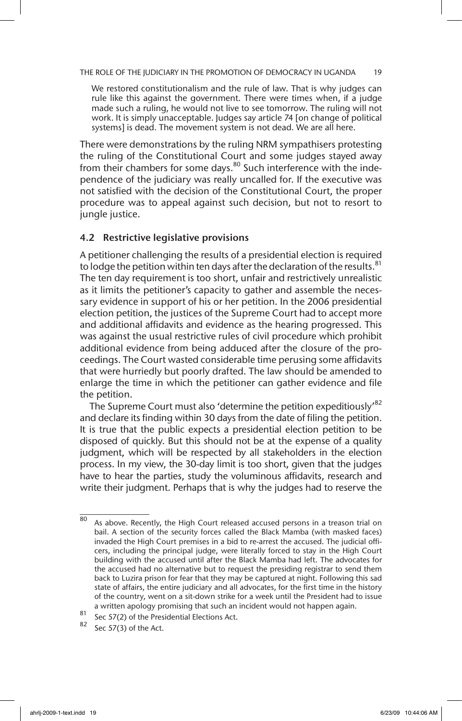We restored constitutionalism and the rule of law. That is why judges can rule like this against the government. There were times when, if a judge made such a ruling, he would not live to see tomorrow. The ruling will not work. It is simply unacceptable. Judges say article 74 [on change of political systems] is dead. The movement system is not dead. We are all here.

There were demonstrations by the ruling NRM sympathisers protesting the ruling of the Constitutional Court and some judges stayed away from their chambers for some days.<sup>80</sup> Such interference with the independence of the judiciary was really uncalled for. If the executive was not satisfied with the decision of the Constitutional Court, the proper procedure was to appeal against such decision, but not to resort to jungle justice.

#### 4.2 Restrictive legislative provisions

A petitioner challenging the results of a presidential election is required to lodge the petition within ten days after the declaration of the results.  $81$ The ten day requirement is too short, unfair and restrictively unrealistic as it limits the petitioner's capacity to gather and assemble the necessary evidence in support of his or her petition. In the 2006 presidential election petition, the justices of the Supreme Court had to accept more and additional affidavits and evidence as the hearing progressed. This was against the usual restrictive rules of civil procedure which prohibit additional evidence from being adduced after the closure of the proceedings. The Court wasted considerable time perusing some affidavits that were hurriedly but poorly drafted. The law should be amended to enlarge the time in which the petitioner can gather evidence and file the petition.

The Supreme Court must also 'determine the petition expeditiously'<sup>82</sup> and declare its finding within 30 days from the date of filing the petition. It is true that the public expects a presidential election petition to be disposed of quickly. But this should not be at the expense of a quality judgment, which will be respected by all stakeholders in the election process. In my view, the 30-day limit is too short, given that the judges have to hear the parties, study the voluminous affidavits, research and write their judgment. Perhaps that is why the judges had to reserve the

 $\overline{80}$  As above. Recently, the High Court released accused persons in a treason trial on bail. A section of the security forces called the Black Mamba (with masked faces) invaded the High Court premises in a bid to re-arrest the accused. The judicial officers, including the principal judge, were literally forced to stay in the High Court building with the accused until after the Black Mamba had left. The advocates for the accused had no alternative but to request the presiding registrar to send them back to Luzira prison for fear that they may be captured at night. Following this sad state of affairs, the entire judiciary and all advocates, for the first time in the history of the country, went on a sit-down strike for a week until the President had to issue a written apology promising that such an incident would not happen again.

<sup>81</sup> Sec 57(2) of the Presidential Elections Act.

Sec 57(3) of the Act.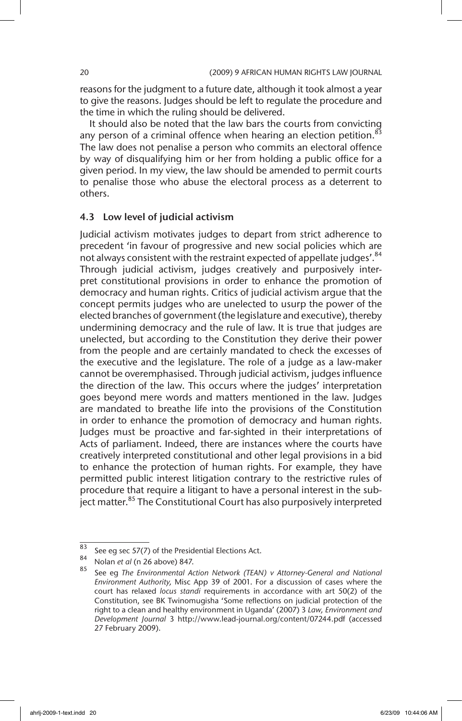reasons for the judgment to a future date, although it took almost a year to give the reasons. Judges should be left to regulate the procedure and the time in which the ruling should be delivered.

It should also be noted that the law bars the courts from convicting any person of a criminal offence when hearing an election petition. $83$ The law does not penalise a person who commits an electoral offence by way of disqualifying him or her from holding a public office for a given period. In my view, the law should be amended to permit courts to penalise those who abuse the electoral process as a deterrent to others.

#### 4.3 Low level of judicial activism

Judicial activism motivates judges to depart from strict adherence to precedent 'in favour of progressive and new social policies which are not always consistent with the restraint expected of appellate judges'.<sup>84</sup> Through judicial activism, judges creatively and purposively interpret constitutional provisions in order to enhance the promotion of democracy and human rights. Critics of judicial activism argue that the concept permits judges who are unelected to usurp the power of the elected branches of government (the legislature and executive), thereby undermining democracy and the rule of law. It is true that judges are unelected, but according to the Constitution they derive their power from the people and are certainly mandated to check the excesses of the executive and the legislature. The role of a judge as a law-maker cannot be overemphasised. Through judicial activism, judges influence the direction of the law. This occurs where the judges' interpretation goes beyond mere words and matters mentioned in the law. Judges are mandated to breathe life into the provisions of the Constitution in order to enhance the promotion of democracy and human rights. Judges must be proactive and far-sighted in their interpretations of Acts of parliament. Indeed, there are instances where the courts have creatively interpreted constitutional and other legal provisions in a bid to enhance the protection of human rights. For example, they have permitted public interest litigation contrary to the restrictive rules of procedure that require a litigant to have a personal interest in the subiect matter.<sup>85</sup> The Constitutional Court has also purposively interpreted

<sup>83</sup> See eg sec 57(7) of the Presidential Elections Act.

<sup>&</sup>lt;sup>84</sup> Nolan *et al* (n 26 above) 847.

<sup>85</sup> See eg *The Environmental Action Network (TEAN) v Attorney-General and National Environment Authority,* Misc App 39 of 2001. For a discussion of cases where the court has relaxed *locus standi* requirements in accordance with art 50(2) of the Constitution, see BK Twinomugisha 'Some reflections on judicial protection of the right to a clean and healthy environment in Uganda' (2007) 3 *Law, Environment and Development Journal* 3 http://www.lead-journal.org/content/07244.pdf (accessed 27 February 2009).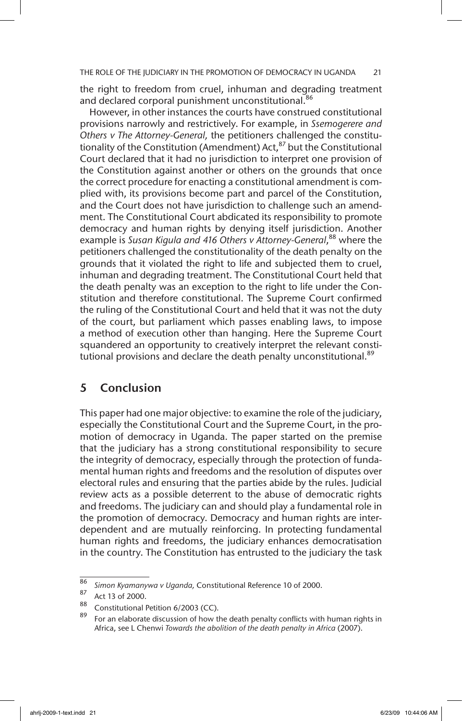the right to freedom from cruel, inhuman and degrading treatment and declared corporal punishment unconstitutional.<sup>86</sup>

However, in other instances the courts have construed constitutional provisions narrowly and restrictively. For example, in *Ssemogerere and Others v The Attorney-General,* the petitioners challenged the constitutionality of the Constitution (Amendment) Act, $^{87}$  but the Constitutional Court declared that it had no jurisdiction to interpret one provision of the Constitution against another or others on the grounds that once the correct procedure for enacting a constitutional amendment is complied with, its provisions become part and parcel of the Constitution, and the Court does not have jurisdiction to challenge such an amendment. The Constitutional Court abdicated its responsibility to promote democracy and human rights by denying itself jurisdiction. Another example is *Susan Kigula and 416 Others v Attorney-General*, 88 where the petitioners challenged the constitutionality of the death penalty on the grounds that it violated the right to life and subjected them to cruel, inhuman and degrading treatment. The Constitutional Court held that the death penalty was an exception to the right to life under the Constitution and therefore constitutional. The Supreme Court confirmed the ruling of the Constitutional Court and held that it was not the duty of the court, but parliament which passes enabling laws, to impose a method of execution other than hanging. Here the Supreme Court squandered an opportunity to creatively interpret the relevant constitutional provisions and declare the death penalty unconstitutional.<sup>89</sup>

# 5 Conclusion

This paper had one major objective: to examine the role of the judiciary, especially the Constitutional Court and the Supreme Court, in the promotion of democracy in Uganda. The paper started on the premise that the judiciary has a strong constitutional responsibility to secure the integrity of democracy, especially through the protection of fundamental human rights and freedoms and the resolution of disputes over electoral rules and ensuring that the parties abide by the rules. Judicial review acts as a possible deterrent to the abuse of democratic rights and freedoms. The judiciary can and should play a fundamental role in the promotion of democracy. Democracy and human rights are interdependent and are mutually reinforcing. In protecting fundamental human rights and freedoms, the judiciary enhances democratisation in the country. The Constitution has entrusted to the judiciary the task

<sup>86</sup> *Simon Kyamanywa v Uganda,* Constitutional Reference 10 of 2000.

 $\frac{87}{88}$  Act 13 of 2000.

Constitutional Petition 6/2003 (CC).

For an elaborate discussion of how the death penalty conflicts with human rights in Africa, see L Chenwi *Towards the abolition of the death penalty in Africa* (2007).